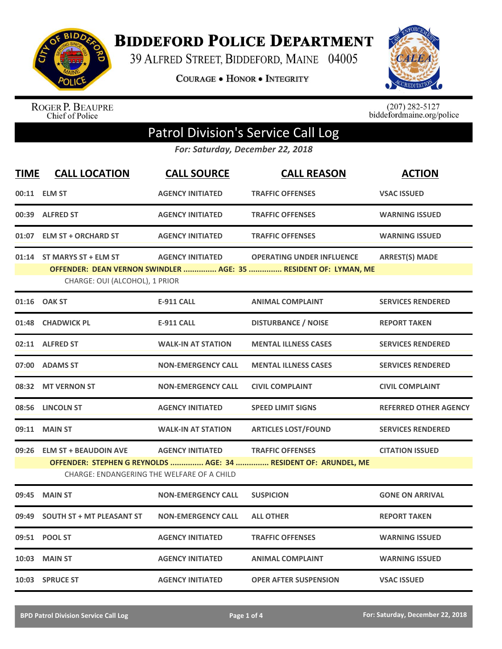

**BIDDEFORD POLICE DEPARTMENT** 

39 ALFRED STREET, BIDDEFORD, MAINE 04005

**COURAGE . HONOR . INTEGRITY** 



ROGER P. BEAUPRE<br>Chief of Police

 $(207)$  282-5127<br>biddefordmaine.org/police

## Patrol Division's Service Call Log

*For: Saturday, December 22, 2018*

| <b>TIME</b> | <b>CALL LOCATION</b>                                                       | <b>CALL SOURCE</b>        | <b>CALL REASON</b>                                                                                  | <b>ACTION</b>                |
|-------------|----------------------------------------------------------------------------|---------------------------|-----------------------------------------------------------------------------------------------------|------------------------------|
|             | 00:11 ELM ST                                                               | <b>AGENCY INITIATED</b>   | <b>TRAFFIC OFFENSES</b>                                                                             | <b>VSAC ISSUED</b>           |
|             | 00:39 ALFRED ST                                                            | <b>AGENCY INITIATED</b>   | <b>TRAFFIC OFFENSES</b>                                                                             | <b>WARNING ISSUED</b>        |
|             | 01:07 ELM ST + ORCHARD ST                                                  | <b>AGENCY INITIATED</b>   | <b>TRAFFIC OFFENSES</b>                                                                             | <b>WARNING ISSUED</b>        |
|             | 01:14 ST MARYS ST + ELM ST<br>CHARGE: OUI (ALCOHOL), 1 PRIOR               | <b>AGENCY INITIATED</b>   | <b>OPERATING UNDER INFLUENCE</b><br>OFFENDER: DEAN VERNON SWINDLER  AGE: 35  RESIDENT OF: LYMAN, ME | <b>ARREST(S) MADE</b>        |
|             | 01:16 OAK ST                                                               | <b>E-911 CALL</b>         | <b>ANIMAL COMPLAINT</b>                                                                             | <b>SERVICES RENDERED</b>     |
|             | 01:48 CHADWICK PL                                                          | <b>E-911 CALL</b>         | <b>DISTURBANCE / NOISE</b>                                                                          | <b>REPORT TAKEN</b>          |
|             | 02:11 ALFRED ST                                                            | <b>WALK-IN AT STATION</b> | <b>MENTAL ILLNESS CASES</b>                                                                         | <b>SERVICES RENDERED</b>     |
|             | 07:00 ADAMS ST                                                             | <b>NON-EMERGENCY CALL</b> | <b>MENTAL ILLNESS CASES</b>                                                                         | <b>SERVICES RENDERED</b>     |
| 08:32       | <b>MT VERNON ST</b>                                                        | <b>NON-EMERGENCY CALL</b> | <b>CIVIL COMPLAINT</b>                                                                              | <b>CIVIL COMPLAINT</b>       |
|             | 08:56 LINCOLN ST                                                           | <b>AGENCY INITIATED</b>   | <b>SPEED LIMIT SIGNS</b>                                                                            | <b>REFERRED OTHER AGENCY</b> |
| 09:11       | <b>MAIN ST</b>                                                             | <b>WALK-IN AT STATION</b> | <b>ARTICLES LOST/FOUND</b>                                                                          | <b>SERVICES RENDERED</b>     |
| 09:26       | <b>ELM ST + BEAUDOIN AVE</b><br>CHARGE: ENDANGERING THE WELFARE OF A CHILD | <b>AGENCY INITIATED</b>   | <b>TRAFFIC OFFENSES</b><br>OFFENDER: STEPHEN G REYNOLDS  AGE: 34  RESIDENT OF: ARUNDEL, ME          | <b>CITATION ISSUED</b>       |
| 09:45       | <b>MAIN ST</b>                                                             | <b>NON-EMERGENCY CALL</b> | <b>SUSPICION</b>                                                                                    | <b>GONE ON ARRIVAL</b>       |
| 09:49       | <b>SOUTH ST + MT PLEASANT ST</b>                                           | <b>NON-EMERGENCY CALL</b> | <b>ALL OTHER</b>                                                                                    | <b>REPORT TAKEN</b>          |
|             | 09:51 POOL ST                                                              | <b>AGENCY INITIATED</b>   | <b>TRAFFIC OFFENSES</b>                                                                             | <b>WARNING ISSUED</b>        |
|             | <b>10:03 MAIN ST</b>                                                       | <b>AGENCY INITIATED</b>   | <b>ANIMAL COMPLAINT</b>                                                                             | <b>WARNING ISSUED</b>        |
|             | 10:03 SPRUCE ST                                                            | <b>AGENCY INITIATED</b>   | <b>OPER AFTER SUSPENSION</b>                                                                        | <b>VSAC ISSUED</b>           |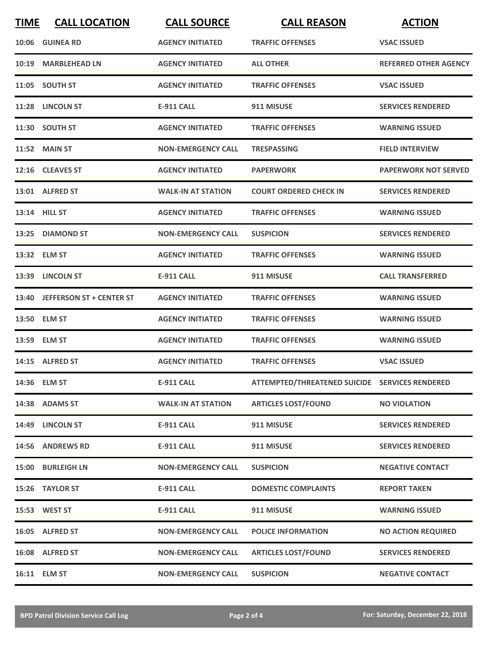| <b>TIME</b> | <b>CALL LOCATION</b>           | <b>CALL SOURCE</b>        | <b>CALL REASON</b>                             | <b>ACTION</b>                |
|-------------|--------------------------------|---------------------------|------------------------------------------------|------------------------------|
|             | 10:06 GUINEA RD                | <b>AGENCY INITIATED</b>   | <b>TRAFFIC OFFENSES</b>                        | <b>VSAC ISSUED</b>           |
|             | 10:19 MARBLEHEAD LN            | <b>AGENCY INITIATED</b>   | <b>ALL OTHER</b>                               | <b>REFERRED OTHER AGENCY</b> |
|             | 11:05 SOUTH ST                 | <b>AGENCY INITIATED</b>   | <b>TRAFFIC OFFENSES</b>                        | <b>VSAC ISSUED</b>           |
|             | 11:28 LINCOLN ST               | E-911 CALL                | 911 MISUSE                                     | <b>SERVICES RENDERED</b>     |
|             | 11:30 SOUTH ST                 | <b>AGENCY INITIATED</b>   | <b>TRAFFIC OFFENSES</b>                        | <b>WARNING ISSUED</b>        |
|             | <b>11:52 MAIN ST</b>           | <b>NON-EMERGENCY CALL</b> | <b>TRESPASSING</b>                             | <b>FIELD INTERVIEW</b>       |
|             | 12:16 CLEAVES ST               | <b>AGENCY INITIATED</b>   | <b>PAPERWORK</b>                               | <b>PAPERWORK NOT SERVED</b>  |
|             | 13:01 ALFRED ST                | <b>WALK-IN AT STATION</b> | <b>COURT ORDERED CHECK IN</b>                  | <b>SERVICES RENDERED</b>     |
|             | 13:14 HILL ST                  | <b>AGENCY INITIATED</b>   | <b>TRAFFIC OFFENSES</b>                        | <b>WARNING ISSUED</b>        |
|             | 13:25 DIAMOND ST               | <b>NON-EMERGENCY CALL</b> | <b>SUSPICION</b>                               | <b>SERVICES RENDERED</b>     |
|             | 13:32 ELM ST                   | <b>AGENCY INITIATED</b>   | <b>TRAFFIC OFFENSES</b>                        | <b>WARNING ISSUED</b>        |
|             | 13:39 LINCOLN ST               | <b>E-911 CALL</b>         | 911 MISUSE                                     | <b>CALL TRANSFERRED</b>      |
|             | 13:40 JEFFERSON ST + CENTER ST | <b>AGENCY INITIATED</b>   | <b>TRAFFIC OFFENSES</b>                        | <b>WARNING ISSUED</b>        |
|             | 13:50 ELM ST                   | <b>AGENCY INITIATED</b>   | <b>TRAFFIC OFFENSES</b>                        | <b>WARNING ISSUED</b>        |
|             | 13:59 ELM ST                   | <b>AGENCY INITIATED</b>   | <b>TRAFFIC OFFENSES</b>                        | <b>WARNING ISSUED</b>        |
|             | 14:15 ALFRED ST                | <b>AGENCY INITIATED</b>   | <b>TRAFFIC OFFENSES</b>                        | <b>VSAC ISSUED</b>           |
|             | 14:36 ELM ST                   | <b>E-911 CALL</b>         | ATTEMPTED/THREATENED SUICIDE SERVICES RENDERED |                              |
|             | 14:38 ADAMS ST                 | <b>WALK-IN AT STATION</b> | <b>ARTICLES LOST/FOUND</b>                     | <b>NO VIOLATION</b>          |
|             | 14:49 LINCOLN ST               | <b>E-911 CALL</b>         | 911 MISUSE                                     | <b>SERVICES RENDERED</b>     |
|             | 14:56 ANDREWS RD               | <b>E-911 CALL</b>         | 911 MISUSE                                     | <b>SERVICES RENDERED</b>     |
|             | 15:00 BURLEIGH LN              | <b>NON-EMERGENCY CALL</b> | <b>SUSPICION</b>                               | <b>NEGATIVE CONTACT</b>      |
|             | 15:26 TAYLOR ST                | <b>E-911 CALL</b>         | <b>DOMESTIC COMPLAINTS</b>                     | <b>REPORT TAKEN</b>          |
|             | 15:53 WEST ST                  | E-911 CALL                | 911 MISUSE                                     | <b>WARNING ISSUED</b>        |
|             | 16:05 ALFRED ST                | <b>NON-EMERGENCY CALL</b> | <b>POLICE INFORMATION</b>                      | <b>NO ACTION REQUIRED</b>    |
|             | 16:08 ALFRED ST                | <b>NON-EMERGENCY CALL</b> | <b>ARTICLES LOST/FOUND</b>                     | <b>SERVICES RENDERED</b>     |
|             | 16:11 ELM ST                   | <b>NON-EMERGENCY CALL</b> | <b>SUSPICION</b>                               | <b>NEGATIVE CONTACT</b>      |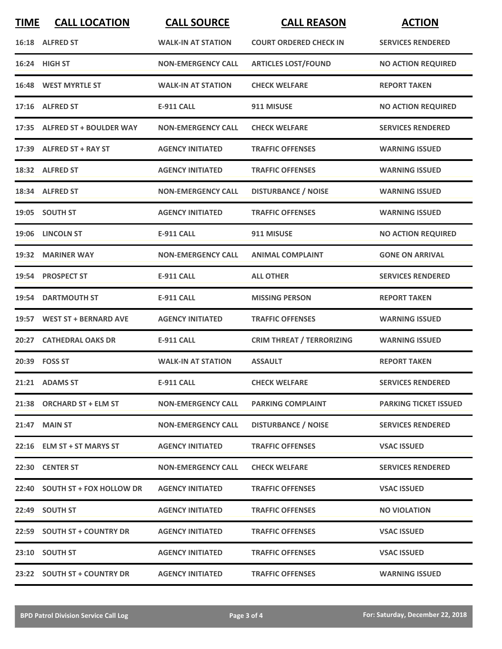| <b>TIME</b> | <b>CALL LOCATION</b>           | <b>CALL SOURCE</b>        | <b>CALL REASON</b>               | <b>ACTION</b>                |
|-------------|--------------------------------|---------------------------|----------------------------------|------------------------------|
|             | 16:18 ALFRED ST                | <b>WALK-IN AT STATION</b> | <b>COURT ORDERED CHECK IN</b>    | <b>SERVICES RENDERED</b>     |
|             | 16:24 HIGH ST                  | <b>NON-EMERGENCY CALL</b> | <b>ARTICLES LOST/FOUND</b>       | <b>NO ACTION REQUIRED</b>    |
|             | 16:48 WEST MYRTLE ST           | <b>WALK-IN AT STATION</b> | <b>CHECK WELFARE</b>             | <b>REPORT TAKEN</b>          |
|             | 17:16 ALFRED ST                | <b>E-911 CALL</b>         | 911 MISUSE                       | <b>NO ACTION REQUIRED</b>    |
|             | 17:35 ALFRED ST + BOULDER WAY  | <b>NON-EMERGENCY CALL</b> | <b>CHECK WELFARE</b>             | <b>SERVICES RENDERED</b>     |
|             | 17:39 ALFRED ST + RAY ST       | <b>AGENCY INITIATED</b>   | <b>TRAFFIC OFFENSES</b>          | <b>WARNING ISSUED</b>        |
|             | 18:32 ALFRED ST                | <b>AGENCY INITIATED</b>   | <b>TRAFFIC OFFENSES</b>          | <b>WARNING ISSUED</b>        |
|             | 18:34 ALFRED ST                | <b>NON-EMERGENCY CALL</b> | <b>DISTURBANCE / NOISE</b>       | <b>WARNING ISSUED</b>        |
|             | 19:05 SOUTH ST                 | <b>AGENCY INITIATED</b>   | <b>TRAFFIC OFFENSES</b>          | <b>WARNING ISSUED</b>        |
|             | 19:06 LINCOLN ST               | <b>E-911 CALL</b>         | 911 MISUSE                       | <b>NO ACTION REQUIRED</b>    |
|             | 19:32 MARINER WAY              | <b>NON-EMERGENCY CALL</b> | <b>ANIMAL COMPLAINT</b>          | <b>GONE ON ARRIVAL</b>       |
|             | 19:54 PROSPECT ST              | <b>E-911 CALL</b>         | <b>ALL OTHER</b>                 | <b>SERVICES RENDERED</b>     |
| 19:54       | <b>DARTMOUTH ST</b>            | <b>E-911 CALL</b>         | <b>MISSING PERSON</b>            | <b>REPORT TAKEN</b>          |
|             | 19:57 WEST ST + BERNARD AVE    | <b>AGENCY INITIATED</b>   | <b>TRAFFIC OFFENSES</b>          | <b>WARNING ISSUED</b>        |
|             | 20:27 CATHEDRAL OAKS DR        | <b>E-911 CALL</b>         | <b>CRIM THREAT / TERRORIZING</b> | <b>WARNING ISSUED</b>        |
|             | 20:39 FOSS ST                  | <b>WALK-IN AT STATION</b> | <b>ASSAULT</b>                   | <b>REPORT TAKEN</b>          |
|             | 21:21 ADAMS ST                 | <b>E-911 CALL</b>         | <b>CHECK WELFARE</b>             | <b>SERVICES RENDERED</b>     |
|             | 21:38 ORCHARD ST + ELM ST      | <b>NON-EMERGENCY CALL</b> | <b>PARKING COMPLAINT</b>         | <b>PARKING TICKET ISSUED</b> |
|             | 21:47 MAIN ST                  | <b>NON-EMERGENCY CALL</b> | <b>DISTURBANCE / NOISE</b>       | <b>SERVICES RENDERED</b>     |
|             | 22:16 ELM ST + ST MARYS ST     | <b>AGENCY INITIATED</b>   | <b>TRAFFIC OFFENSES</b>          | <b>VSAC ISSUED</b>           |
|             | 22:30 CENTER ST                | <b>NON-EMERGENCY CALL</b> | <b>CHECK WELFARE</b>             | <b>SERVICES RENDERED</b>     |
|             | 22:40 SOUTH ST + FOX HOLLOW DR | <b>AGENCY INITIATED</b>   | <b>TRAFFIC OFFENSES</b>          | <b>VSAC ISSUED</b>           |
|             | 22:49 SOUTH ST                 | <b>AGENCY INITIATED</b>   | <b>TRAFFIC OFFENSES</b>          | <b>NO VIOLATION</b>          |
|             | 22:59 SOUTH ST + COUNTRY DR    | <b>AGENCY INITIATED</b>   | <b>TRAFFIC OFFENSES</b>          | <b>VSAC ISSUED</b>           |
|             | 23:10 SOUTH ST                 | <b>AGENCY INITIATED</b>   | <b>TRAFFIC OFFENSES</b>          | <b>VSAC ISSUED</b>           |
|             | 23:22 SOUTH ST + COUNTRY DR    | <b>AGENCY INITIATED</b>   | <b>TRAFFIC OFFENSES</b>          | <b>WARNING ISSUED</b>        |